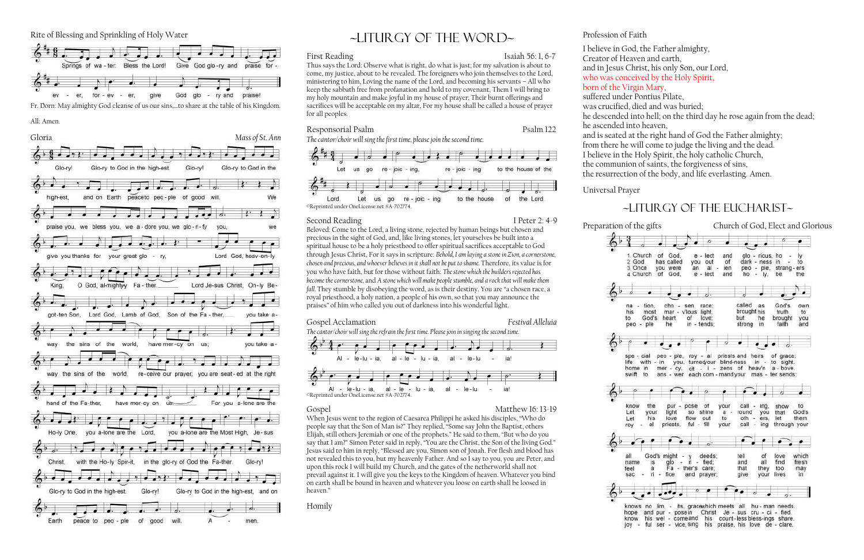Rite of Blessing and Sprinkling of Holy Water



Fr. Dorn: May almighty God cleanse of us our sins,…to share at the table of his Kingdom.

All: Amen.

First Reading Isaiah 56: 1, 6-7 Thus says the Lord: Observe what is right, do what is just; for my salvation is about to



# ~liturgy of the word~

come, my justice, about to be revealed. The foreigners who join themselves to the Lord, ministering to him, Loving the name of the Lord, and becoming his servants – All who keep the sabbath free from profanation and hold to my covenant, Them I will bring to my holy mountain and make joyful in my house of prayer; Their burnt offerings and sacrifices will be acceptable on my altar, For my house shall be called a house of prayer for all peoples.

### Responsorial Psalm Psalm Psalm 122

*The cantor/choir will sing the first time, please join the second time.*



Second Reading I Peter 2: 4-9

Beloved: Come to the Lord, a living stone, rejected by human beings but chosen and precious in the sight of God, and, like living stones, let yourselves be built into a spiritual house to be a holy priesthood to offer spiritual sacrifices acceptable to God through Jesus Christ, For it says in scripture: *Behold, I am laying a stone in Zion, a cornerstone, chosen and precious, and whoever believes in it shall not be put to shame.* Therefore, its value is for you who have faith, but for those without faith: *The stone which the builders rejected has become the cornerstone, and A stone which will make people stumble, and a rock that will make them fall.* They stumble by disobeying the word, as is their destiny. You are "a chosen race, a royal priesthood, a holy nation, a people of his own, so that you may announce the praises" of him who called you out of darkness into his wonderful light.

### Gospel Acclamation *Festival Alleluia*

*The cantor/choir will sing the refrain the first time. Please join in singing the second time.*



Gospel Matthew 16: 13-19

When Jesus went to the region of Caesarea Philippi he asked his disciples, "Who do people say that the Son of Man is?" They replied, "Some say John the Baptist, others Elijah, still others Jeremiah or one of the prophets." He said to them, "But who do you say that I am?" Simon Peter said in reply, "You are the Christ, the Son of the living God." Jesus said to him in reply, "Blessed are you, Simon son of Jonah. For flesh and blood has not revealed this to you, but my heavenly Father. And so I say to you, you are Peter, and upon this rock I will build my Church, and the gates of the netherworld shall not prevail against it. I will give you the keys to the Kingdom of heaven. Whatever you bind on earth shall be bound in heaven and whatever you loose on earth shall be loosed in heaven."

Homily

### Profession of Faith

I believe in God, the Father almighty,

Creator of Heaven and earth, born of the Virgin Mary, suffered under Pontius Pilate, he ascended into heaven,

- 
- and in Jesus Christ, his only Son, our Lord,
- who was conceived by the Holy Spirit,
	-
	-
- was crucified, died and was buried;
- he descended into hell; on the third day he rose again from the dead;
- and is seated at the right hand of God the Father almighty;
- from there he will come to judge the living and the dead.
- I believe in the Holy Spirit, the holy catholic Church,
- the communion of saints, the forgiveness of sins,
- the resurrection of the body, and life everlasting. Amen.

## $\sim$ LITURGY OF THE EUCHARIST $\sim$

hope and pur - posein Christ Je - sus cru - ci - fied. - comeand his count-less bless-ings share. his wel joy - ful ser - vice, sing his praise, his love de - clare,

Universal Prayer







know